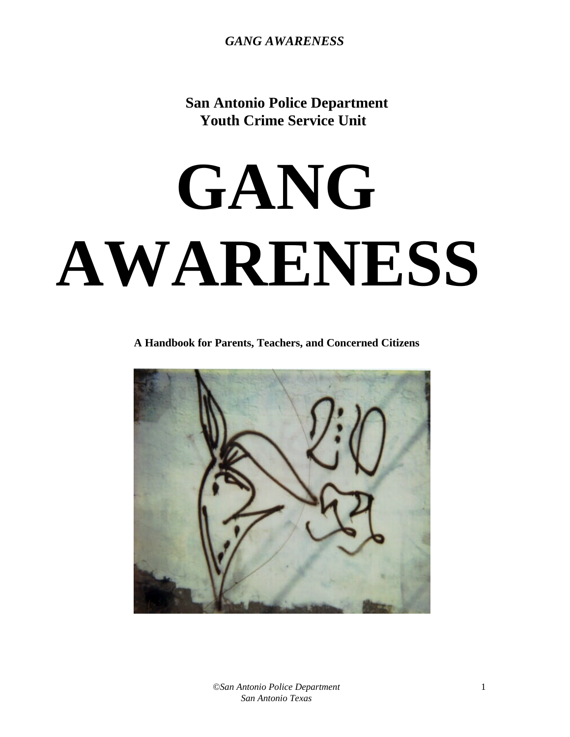**San Antonio Police Department Youth Crime Service Unit**

# **GANG AWARENESS**

 **A Handbook for Parents, Teachers, and Concerned Citizens**

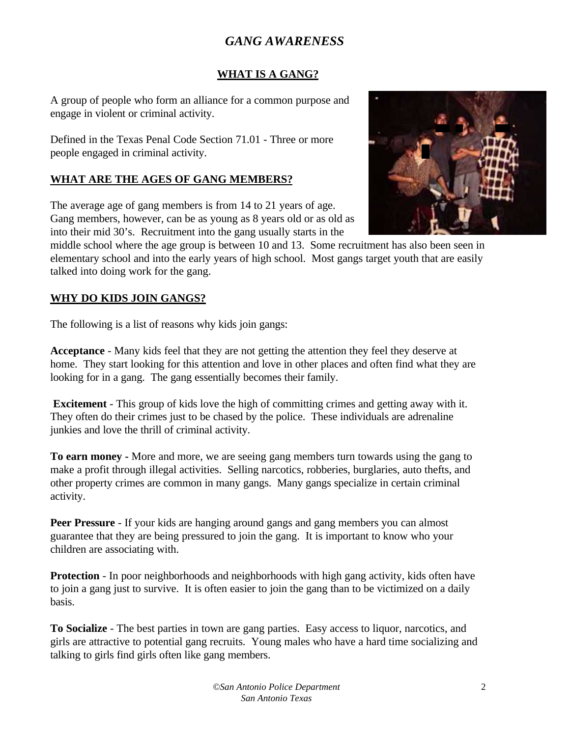## **WHAT IS A GANG?**

A group of people who form an alliance for a common purpose and engage in violent or criminal activity.

Defined in the Texas Penal Code Section 71.01 - Three or more people engaged in criminal activity.

## **WHAT ARE THE AGES OF GANG MEMBERS?**

The average age of gang members is from 14 to 21 years of age. Gang members, however, can be as young as 8 years old or as old as into their mid 30's. Recruitment into the gang usually starts in the



middle school where the age group is between 10 and 13. Some recruitment has also been seen in elementary school and into the early years of high school. Most gangs target youth that are easily talked into doing work for the gang.

## **WHY DO KIDS JOIN GANGS?**

The following is a list of reasons why kids join gangs:

**Acceptance** - Many kids feel that they are not getting the attention they feel they deserve at home. They start looking for this attention and love in other places and often find what they are looking for in a gang. The gang essentially becomes their family.

 **Excitement** - This group of kids love the high of committing crimes and getting away with it. They often do their crimes just to be chased by the police. These individuals are adrenaline junkies and love the thrill of criminal activity.

**To earn money -** More and more, we are seeing gang members turn towards using the gang to make a profit through illegal activities. Selling narcotics, robberies, burglaries, auto thefts, and other property crimes are common in many gangs. Many gangs specialize in certain criminal activity.

**Peer Pressure** - If your kids are hanging around gangs and gang members you can almost guarantee that they are being pressured to join the gang. It is important to know who your children are associating with.

**Protection** - In poor neighborhoods and neighborhoods with high gang activity, kids often have to join a gang just to survive. It is often easier to join the gang than to be victimized on a daily basis.

**To Socialize** - The best parties in town are gang parties. Easy access to liquor, narcotics, and girls are attractive to potential gang recruits. Young males who have a hard time socializing and talking to girls find girls often like gang members.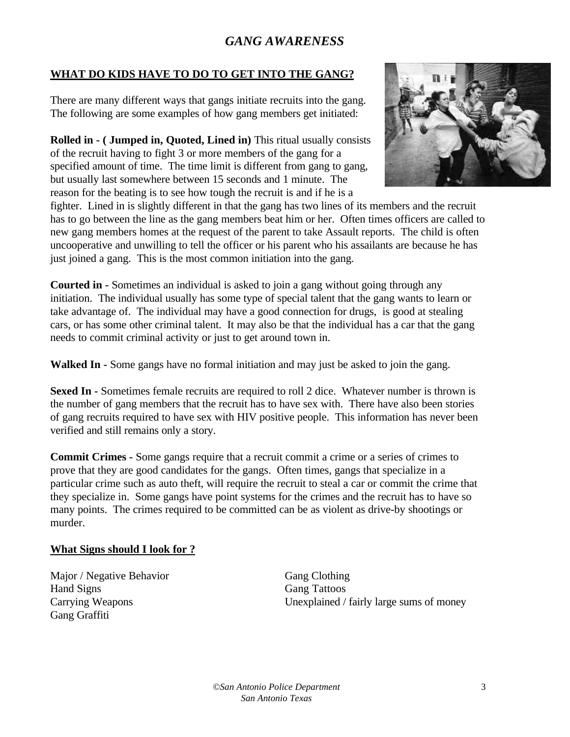## **WHAT DO KIDS HAVE TO DO TO GET INTO THE GANG?**

There are many different ways that gangs initiate recruits into the gang. The following are some examples of how gang members get initiated:

**Rolled in - ( Jumped in, Quoted, Lined in)** This ritual usually consists of the recruit having to fight 3 or more members of the gang for a specified amount of time. The time limit is different from gang to gang, but usually last somewhere between 15 seconds and 1 minute. The reason for the beating is to see how tough the recruit is and if he is a



fighter. Lined in is slightly different in that the gang has two lines of its members and the recruit has to go between the line as the gang members beat him or her. Often times officers are called to new gang members homes at the request of the parent to take Assault reports. The child is often uncooperative and unwilling to tell the officer or his parent who his assailants are because he has just joined a gang. This is the most common initiation into the gang.

**Courted in -** Sometimes an individual is asked to join a gang without going through any initiation. The individual usually has some type of special talent that the gang wants to learn or take advantage of. The individual may have a good connection for drugs, is good at stealing cars, or has some other criminal talent. It may also be that the individual has a car that the gang needs to commit criminal activity or just to get around town in.

**Walked In -** Some gangs have no formal initiation and may just be asked to join the gang.

**Sexed In -** Sometimes female recruits are required to roll 2 dice. Whatever number is thrown is the number of gang members that the recruit has to have sex with. There have also been stories of gang recruits required to have sex with HIV positive people. This information has never been verified and still remains only a story.

**Commit Crimes -** Some gangs require that a recruit commit a crime or a series of crimes to prove that they are good candidates for the gangs. Often times, gangs that specialize in a particular crime such as auto theft, will require the recruit to steal a car or commit the crime that they specialize in. Some gangs have point systems for the crimes and the recruit has to have so many points. The crimes required to be committed can be as violent as drive-by shootings or murder.

## **What Signs should I look for ?**

Major / Negative Behavior Gang Clothing Hand Signs Gang Tattoos Gang Graffiti

Carrying Weapons Unexplained / fairly large sums of money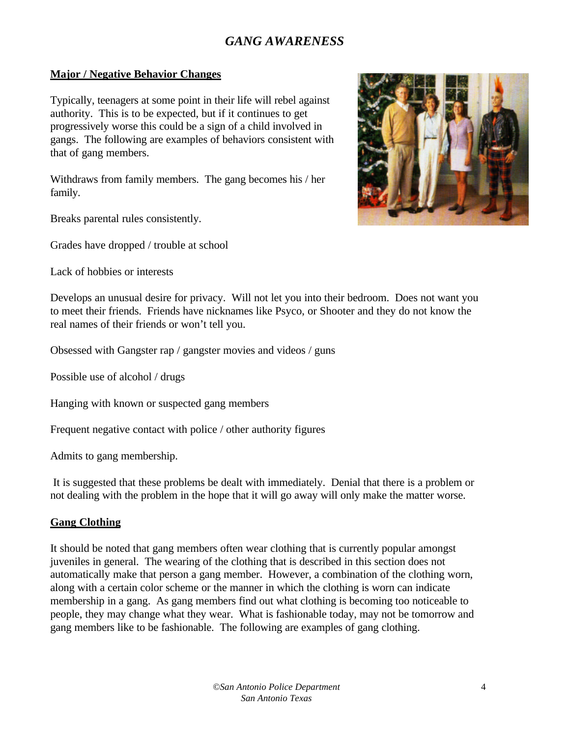### **Major / Negative Behavior Changes**

Typically, teenagers at some point in their life will rebel against authority. This is to be expected, but if it continues to get progressively worse this could be a sign of a child involved in gangs. The following are examples of behaviors consistent with that of gang members.

Withdraws from family members. The gang becomes his / her family.

Breaks parental rules consistently.

Grades have dropped / trouble at school

Lack of hobbies or interests



Develops an unusual desire for privacy. Will not let you into their bedroom. Does not want you to meet their friends. Friends have nicknames like Psyco, or Shooter and they do not know the real names of their friends or won't tell you.

Obsessed with Gangster rap / gangster movies and videos / guns

Possible use of alcohol / drugs

Hanging with known or suspected gang members

Frequent negative contact with police / other authority figures

Admits to gang membership.

 It is suggested that these problems be dealt with immediately. Denial that there is a problem or not dealing with the problem in the hope that it will go away will only make the matter worse.

#### **Gang Clothing**

It should be noted that gang members often wear clothing that is currently popular amongst juveniles in general. The wearing of the clothing that is described in this section does not automatically make that person a gang member. However, a combination of the clothing worn, along with a certain color scheme or the manner in which the clothing is worn can indicate membership in a gang. As gang members find out what clothing is becoming too noticeable to people, they may change what they wear. What is fashionable today, may not be tomorrow and gang members like to be fashionable. The following are examples of gang clothing.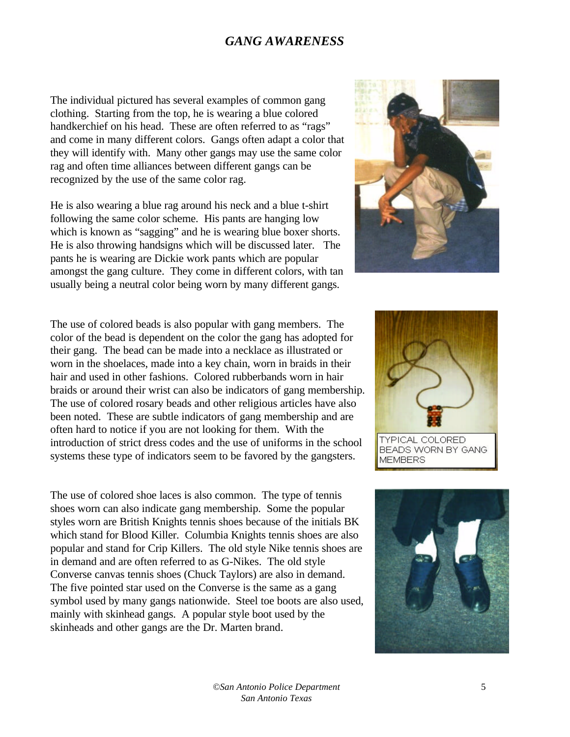The individual pictured has several examples of common gang clothing. Starting from the top, he is wearing a blue colored handkerchief on his head. These are often referred to as "rags" and come in many different colors. Gangs often adapt a color that they will identify with. Many other gangs may use the same color rag and often time alliances between different gangs can be recognized by the use of the same color rag.

He is also wearing a blue rag around his neck and a blue t-shirt following the same color scheme. His pants are hanging low which is known as "sagging" and he is wearing blue boxer shorts. He is also throwing handsigns which will be discussed later. The pants he is wearing are Dickie work pants which are popular amongst the gang culture. They come in different colors, with tan usually being a neutral color being worn by many different gangs.

The use of colored beads is also popular with gang members. The color of the bead is dependent on the color the gang has adopted for their gang. The bead can be made into a necklace as illustrated or worn in the shoelaces, made into a key chain, worn in braids in their hair and used in other fashions. Colored rubberbands worn in hair braids or around their wrist can also be indicators of gang membership. The use of colored rosary beads and other religious articles have also been noted. These are subtle indicators of gang membership and are often hard to notice if you are not looking for them. With the introduction of strict dress codes and the use of uniforms in the school systems these type of indicators seem to be favored by the gangsters.

The use of colored shoe laces is also common. The type of tennis shoes worn can also indicate gang membership. Some the popular styles worn are British Knights tennis shoes because of the initials BK which stand for Blood Killer. Columbia Knights tennis shoes are also popular and stand for Crip Killers. The old style Nike tennis shoes are in demand and are often referred to as G-Nikes. The old style Converse canvas tennis shoes (Chuck Taylors) are also in demand. The five pointed star used on the Converse is the same as a gang symbol used by many gangs nationwide. Steel toe boots are also used, mainly with skinhead gangs. A popular style boot used by the skinheads and other gangs are the Dr. Marten brand.





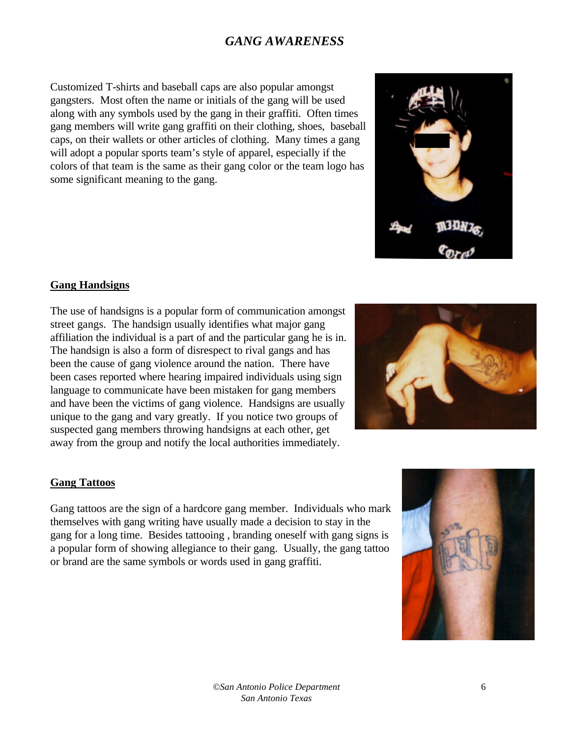Customized T-shirts and baseball caps are also popular amongst gangsters. Most often the name or initials of the gang will be used along with any symbols used by the gang in their graffiti. Often times gang members will write gang graffiti on their clothing, shoes, baseball caps, on their wallets or other articles of clothing. Many times a gang will adopt a popular sports team's style of apparel, especially if the colors of that team is the same as their gang color or the team logo has some significant meaning to the gang.

#### **Gang Handsigns**

The use of handsigns is a popular form of communication amongst street gangs. The handsign usually identifies what major gang affiliation the individual is a part of and the particular gang he is in. The handsign is also a form of disrespect to rival gangs and has been the cause of gang violence around the nation. There have been cases reported where hearing impaired individuals using sign language to communicate have been mistaken for gang members and have been the victims of gang violence. Handsigns are usually unique to the gang and vary greatly. If you notice two groups of suspected gang members throwing handsigns at each other, get away from the group and notify the local authorities immediately.



#### **Gang Tattoos**

Gang tattoos are the sign of a hardcore gang member. Individuals who mark themselves with gang writing have usually made a decision to stay in the gang for a long time. Besides tattooing , branding oneself with gang signs is a popular form of showing allegiance to their gang. Usually, the gang tattoo or brand are the same symbols or words used in gang graffiti.

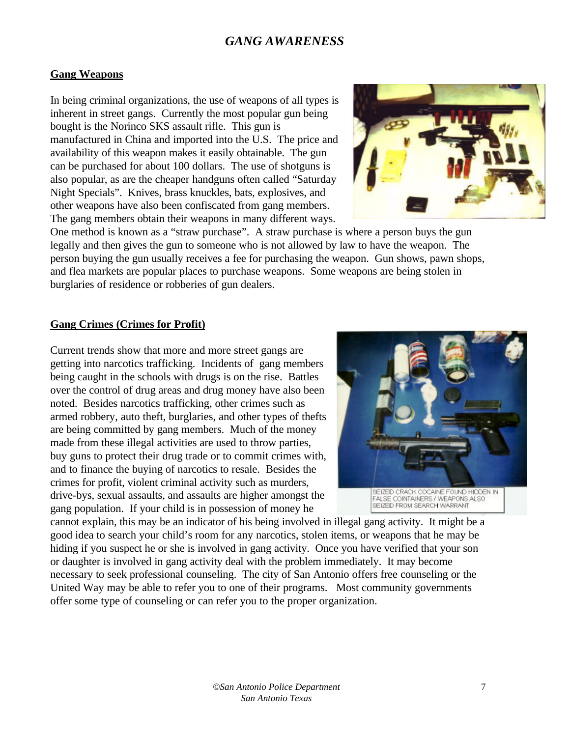### **Gang Weapons**

In being criminal organizations, the use of weapons of all types is inherent in street gangs. Currently the most popular gun being bought is the Norinco SKS assault rifle. This gun is manufactured in China and imported into the U.S. The price and availability of this weapon makes it easily obtainable. The gun can be purchased for about 100 dollars. The use of shotguns is also popular, as are the cheaper handguns often called "Saturday Night Specials". Knives, brass knuckles, bats, explosives, and other weapons have also been confiscated from gang members. The gang members obtain their weapons in many different ways.



One method is known as a "straw purchase". A straw purchase is where a person buys the gun legally and then gives the gun to someone who is not allowed by law to have the weapon. The person buying the gun usually receives a fee for purchasing the weapon. Gun shows, pawn shops, and flea markets are popular places to purchase weapons. Some weapons are being stolen in burglaries of residence or robberies of gun dealers.

#### **Gang Crimes (Crimes for Profit)**

Current trends show that more and more street gangs are getting into narcotics trafficking. Incidents of gang members being caught in the schools with drugs is on the rise. Battles over the control of drug areas and drug money have also been noted. Besides narcotics trafficking, other crimes such as armed robbery, auto theft, burglaries, and other types of thefts are being committed by gang members. Much of the money made from these illegal activities are used to throw parties, buy guns to protect their drug trade or to commit crimes with, and to finance the buying of narcotics to resale. Besides the crimes for profit, violent criminal activity such as murders, drive-bys, sexual assaults, and assaults are higher amongst the gang population. If your child is in possession of money he



cannot explain, this may be an indicator of his being involved in illegal gang activity. It might be a good idea to search your child's room for any narcotics, stolen items, or weapons that he may be hiding if you suspect he or she is involved in gang activity. Once you have verified that your son or daughter is involved in gang activity deal with the problem immediately. It may become necessary to seek professional counseling. The city of San Antonio offers free counseling or the United Way may be able to refer you to one of their programs. Most community governments offer some type of counseling or can refer you to the proper organization.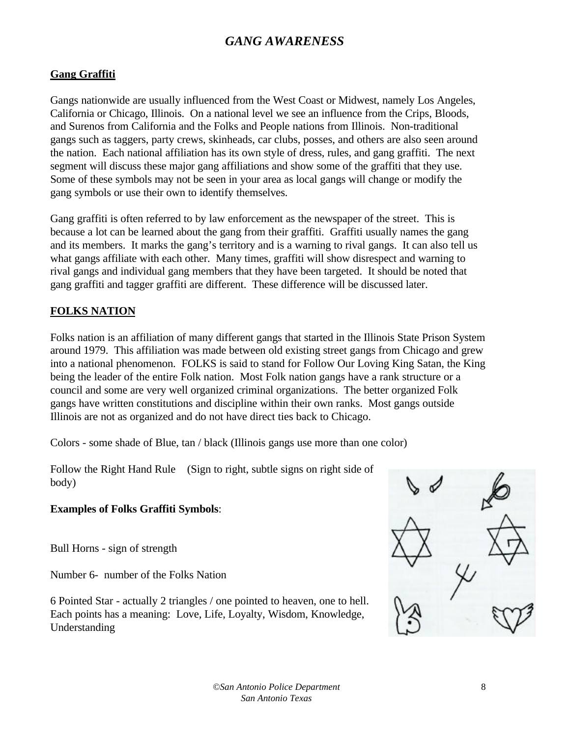## **Gang Graffiti**

Gangs nationwide are usually influenced from the West Coast or Midwest, namely Los Angeles, California or Chicago, Illinois. On a national level we see an influence from the Crips, Bloods, and Surenos from California and the Folks and People nations from Illinois. Non-traditional gangs such as taggers, party crews, skinheads, car clubs, posses, and others are also seen around the nation. Each national affiliation has its own style of dress, rules, and gang graffiti. The next segment will discuss these major gang affiliations and show some of the graffiti that they use. Some of these symbols may not be seen in your area as local gangs will change or modify the gang symbols or use their own to identify themselves.

Gang graffiti is often referred to by law enforcement as the newspaper of the street. This is because a lot can be learned about the gang from their graffiti. Graffiti usually names the gang and its members. It marks the gang's territory and is a warning to rival gangs. It can also tell us what gangs affiliate with each other. Many times, graffiti will show disrespect and warning to rival gangs and individual gang members that they have been targeted. It should be noted that gang graffiti and tagger graffiti are different. These difference will be discussed later.

## **FOLKS NATION**

Folks nation is an affiliation of many different gangs that started in the Illinois State Prison System around 1979. This affiliation was made between old existing street gangs from Chicago and grew into a national phenomenon. FOLKS is said to stand for Follow Our Loving King Satan, the King being the leader of the entire Folk nation. Most Folk nation gangs have a rank structure or a council and some are very well organized criminal organizations. The better organized Folk gangs have written constitutions and discipline within their own ranks. Most gangs outside Illinois are not as organized and do not have direct ties back to Chicago.

Colors - some shade of Blue, tan / black (Illinois gangs use more than one color)

Follow the Right Hand Rule (Sign to right, subtle signs on right side of body)

## **Examples of Folks Graffiti Symbols**:

Bull Horns - sign of strength

Number 6- number of the Folks Nation

6 Pointed Star - actually 2 triangles / one pointed to heaven, one to hell. Each points has a meaning: Love, Life, Loyalty, Wisdom, Knowledge, Understanding

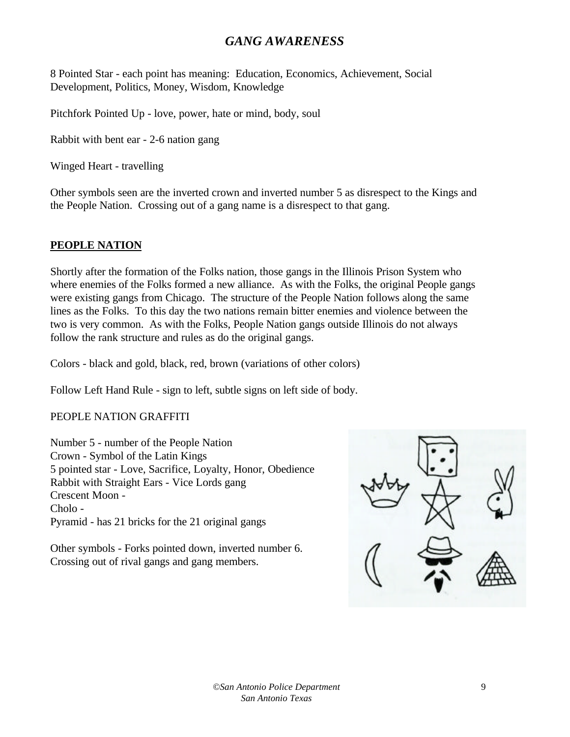8 Pointed Star - each point has meaning: Education, Economics, Achievement, Social Development, Politics, Money, Wisdom, Knowledge

Pitchfork Pointed Up - love, power, hate or mind, body, soul

Rabbit with bent ear - 2-6 nation gang

Winged Heart - travelling

Other symbols seen are the inverted crown and inverted number 5 as disrespect to the Kings and the People Nation. Crossing out of a gang name is a disrespect to that gang.

## **PEOPLE NATION**

Shortly after the formation of the Folks nation, those gangs in the Illinois Prison System who where enemies of the Folks formed a new alliance. As with the Folks, the original People gangs were existing gangs from Chicago. The structure of the People Nation follows along the same lines as the Folks. To this day the two nations remain bitter enemies and violence between the two is very common. As with the Folks, People Nation gangs outside Illinois do not always follow the rank structure and rules as do the original gangs.

Colors - black and gold, black, red, brown (variations of other colors)

Follow Left Hand Rule - sign to left, subtle signs on left side of body.

## PEOPLE NATION GRAFFITI

Number 5 - number of the People Nation Crown - Symbol of the Latin Kings 5 pointed star - Love, Sacrifice, Loyalty, Honor, Obedience Rabbit with Straight Ears - Vice Lords gang Crescent Moon - Cholo - Pyramid - has 21 bricks for the 21 original gangs

Other symbols - Forks pointed down, inverted number 6. Crossing out of rival gangs and gang members.

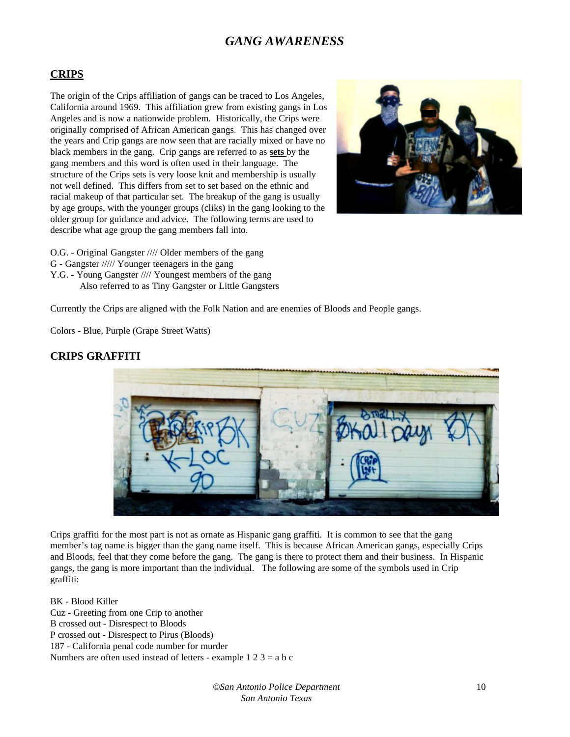#### **CRIPS**

The origin of the Crips affiliation of gangs can be traced to Los Angeles, California around 1969. This affiliation grew from existing gangs in Los Angeles and is now a nationwide problem. Historically, the Crips were originally comprised of African American gangs. This has changed over the years and Crip gangs are now seen that are racially mixed or have no black members in the gang. Crip gangs are referred to as **sets** by the gang members and this word is often used in their language. The structure of the Crips sets is very loose knit and membership is usually not well defined. This differs from set to set based on the ethnic and racial makeup of that particular set. The breakup of the gang is usually by age groups, with the younger groups (cliks) in the gang looking to the older group for guidance and advice. The following terms are used to describe what age group the gang members fall into.



- O.G. Original Gangster //// Older members of the gang
- G Gangster ///// Younger teenagers in the gang
- Y.G. Young Gangster //// Youngest members of the gang Also referred to as Tiny Gangster or Little Gangsters

Currently the Crips are aligned with the Folk Nation and are enemies of Bloods and People gangs.

Colors - Blue, Purple (Grape Street Watts)

#### **CRIPS GRAFFITI**



Crips graffiti for the most part is not as ornate as Hispanic gang graffiti. It is common to see that the gang member's tag name is bigger than the gang name itself. This is because African American gangs, especially Crips and Bloods, feel that they come before the gang. The gang is there to protect them and their business. In Hispanic gangs, the gang is more important than the individual. The following are some of the symbols used in Crip graffiti:

BK - Blood Killer Cuz - Greeting from one Crip to another B crossed out - Disrespect to Bloods P crossed out - Disrespect to Pirus (Bloods) 187 - California penal code number for murder Numbers are often used instead of letters - example  $1\ 2\ 3 = a\ b\ c$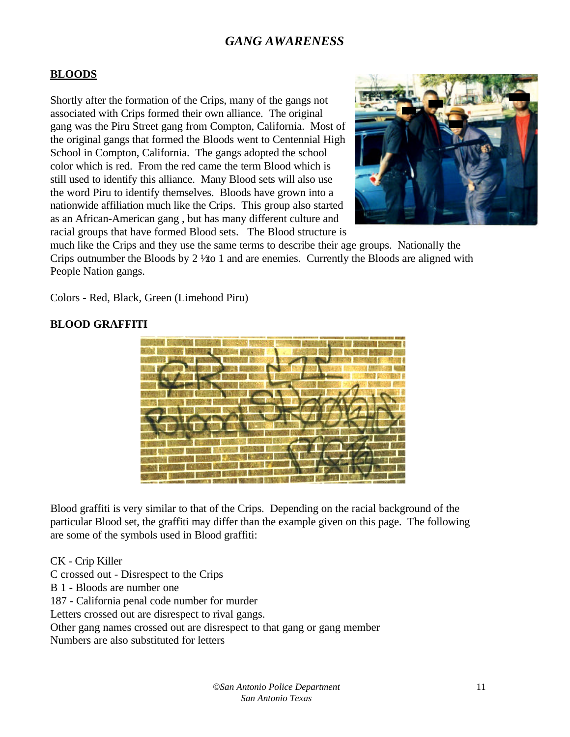## **BLOODS**

Shortly after the formation of the Crips, many of the gangs not associated with Crips formed their own alliance. The original gang was the Piru Street gang from Compton, California. Most of the original gangs that formed the Bloods went to Centennial High School in Compton, California. The gangs adopted the school color which is red. From the red came the term Blood which is still used to identify this alliance. Many Blood sets will also use the word Piru to identify themselves. Bloods have grown into a nationwide affiliation much like the Crips. This group also started as an African-American gang , but has many different culture and racial groups that have formed Blood sets. The Blood structure is



much like the Crips and they use the same terms to describe their age groups. Nationally the Crips outnumber the Bloods by  $2\frac{1}{40}$  1 and are enemies. Currently the Bloods are aligned with People Nation gangs.

Colors - Red, Black, Green (Limehood Piru)

#### **BLOOD GRAFFITI**



Blood graffiti is very similar to that of the Crips. Depending on the racial background of the particular Blood set, the graffiti may differ than the example given on this page. The following are some of the symbols used in Blood graffiti:

CK - Crip Killer

C crossed out - Disrespect to the Crips

B 1 - Bloods are number one

187 - California penal code number for murder

Letters crossed out are disrespect to rival gangs.

Other gang names crossed out are disrespect to that gang or gang member

Numbers are also substituted for letters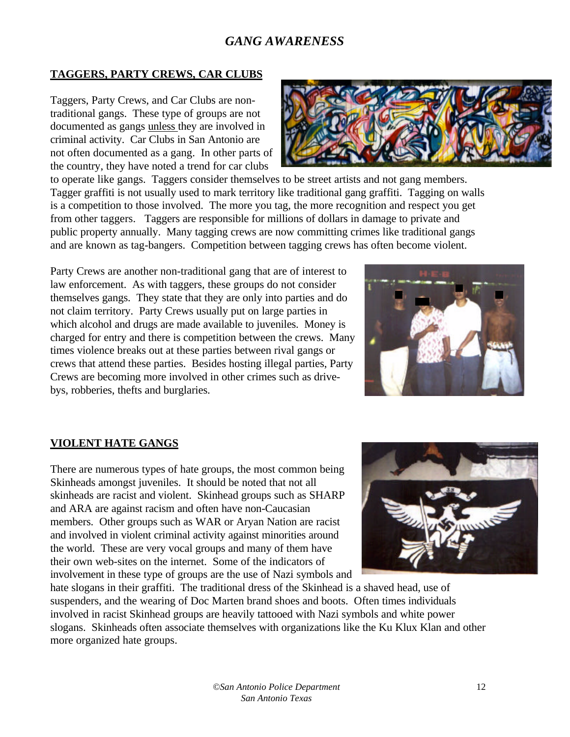## **TAGGERS, PARTY CREWS, CAR CLUBS**

Taggers, Party Crews, and Car Clubs are nontraditional gangs. These type of groups are not documented as gangs unless they are involved in criminal activity. Car Clubs in San Antonio are not often documented as a gang. In other parts of the country, they have noted a trend for car clubs



to operate like gangs. Taggers consider themselves to be street artists and not gang members. Tagger graffiti is not usually used to mark territory like traditional gang graffiti. Tagging on walls is a competition to those involved. The more you tag, the more recognition and respect you get from other taggers. Taggers are responsible for millions of dollars in damage to private and public property annually. Many tagging crews are now committing crimes like traditional gangs and are known as tag-bangers. Competition between tagging crews has often become violent.

Party Crews are another non-traditional gang that are of interest to law enforcement. As with taggers, these groups do not consider themselves gangs. They state that they are only into parties and do not claim territory. Party Crews usually put on large parties in which alcohol and drugs are made available to juveniles. Money is charged for entry and there is competition between the crews. Many times violence breaks out at these parties between rival gangs or crews that attend these parties. Besides hosting illegal parties, Party Crews are becoming more involved in other crimes such as drivebys, robberies, thefts and burglaries.



## **VIOLENT HATE GANGS**

There are numerous types of hate groups, the most common being Skinheads amongst juveniles. It should be noted that not all skinheads are racist and violent. Skinhead groups such as SHARP and ARA are against racism and often have non-Caucasian members. Other groups such as WAR or Aryan Nation are racist and involved in violent criminal activity against minorities around the world. These are very vocal groups and many of them have their own web-sites on the internet. Some of the indicators of involvement in these type of groups are the use of Nazi symbols and



hate slogans in their graffiti. The traditional dress of the Skinhead is a shaved head, use of suspenders, and the wearing of Doc Marten brand shoes and boots. Often times individuals involved in racist Skinhead groups are heavily tattooed with Nazi symbols and white power slogans. Skinheads often associate themselves with organizations like the Ku Klux Klan and other more organized hate groups.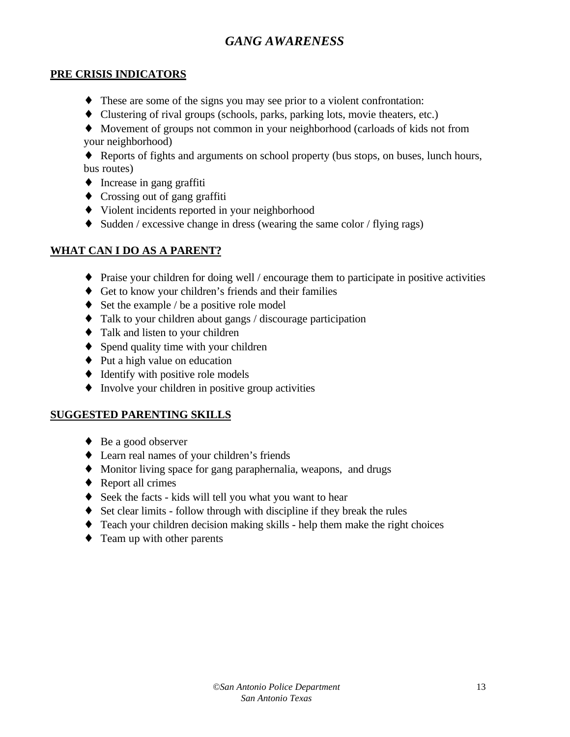## **PRE CRISIS INDICATORS**

- ♦ These are some of the signs you may see prior to a violent confrontation:
- ♦ Clustering of rival groups (schools, parks, parking lots, movie theaters, etc.)
- ♦ Movement of groups not common in your neighborhood (carloads of kids not from your neighborhood)
- ♦ Reports of fights and arguments on school property (bus stops, on buses, lunch hours, bus routes)
- ♦ Increase in gang graffiti
- ♦ Crossing out of gang graffiti
- ♦ Violent incidents reported in your neighborhood
- ♦ Sudden / excessive change in dress (wearing the same color / flying rags)

## **WHAT CAN I DO AS A PARENT?**

- $\blacklozenge$  Praise your children for doing well / encourage them to participate in positive activities
- ♦ Get to know your children's friends and their families
- $\blacklozenge$  Set the example / be a positive role model
- ♦ Talk to your children about gangs / discourage participation
- ♦ Talk and listen to your children
- ♦ Spend quality time with your children
- ♦ Put a high value on education
- ♦ Identify with positive role models
- ♦ Involve your children in positive group activities

## **SUGGESTED PARENTING SKILLS**

- ◆ Be a good observer
- ♦ Learn real names of your children's friends
- ♦ Monitor living space for gang paraphernalia, weapons, and drugs
- $\triangleleft$  Report all crimes
- ♦ Seek the facts kids will tell you what you want to hear
- ♦ Set clear limits follow through with discipline if they break the rules
- ♦ Teach your children decision making skills help them make the right choices
- ♦ Team up with other parents